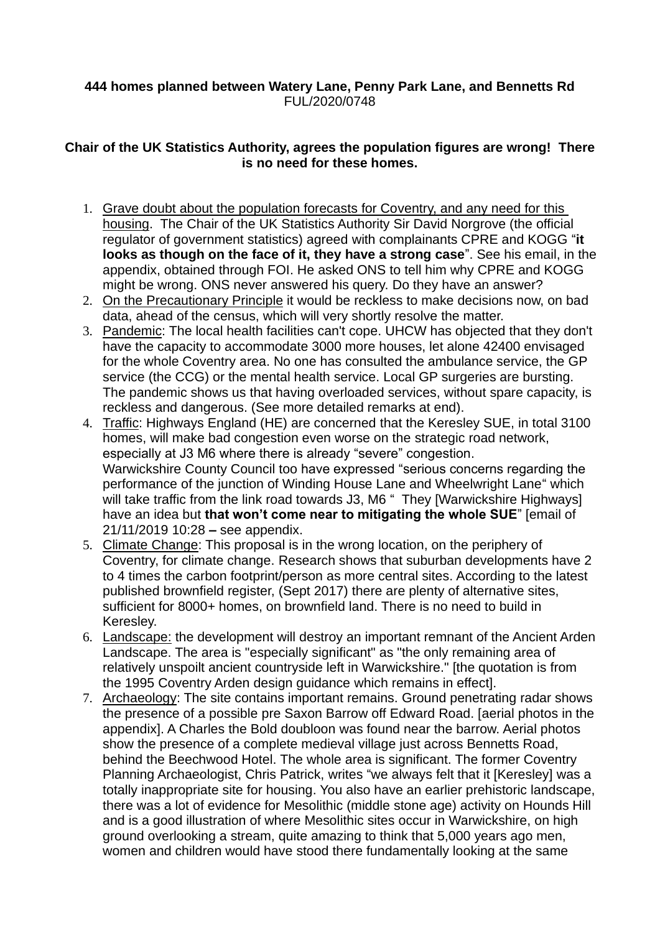## **444 homes planned between Watery Lane, Penny Park Lane, and Bennetts Rd** FUL/2020/0748

# **Chair of the UK Statistics Authority, agrees the population figures are wrong! There is no need for these homes.**

- 1. Grave doubt about the population forecasts for Coventry, and any need for this housing. The Chair of the UK Statistics Authority Sir David Norgrove (the official regulator of government statistics) agreed with complainants CPRE and KOGG "**it looks as though on the face of it, they have a strong case**". See his email, in the appendix, obtained through FOI. He asked ONS to tell him why CPRE and KOGG might be wrong. ONS never answered his query. Do they have an answer?
- 2. On the Precautionary Principle it would be reckless to make decisions now, on bad data, ahead of the census, which will very shortly resolve the matter.
- 3. Pandemic: The local health facilities can't cope. UHCW has objected that they don't have the capacity to accommodate 3000 more houses, let alone 42400 envisaged for the whole Coventry area. No one has consulted the ambulance service, the GP service (the CCG) or the mental health service. Local GP surgeries are bursting. The pandemic shows us that having overloaded services, without spare capacity, is reckless and dangerous. (See more detailed remarks at end).
- 4. Traffic: Highways England (HE) are concerned that the Keresley SUE, in total 3100 homes, will make bad congestion even worse on the strategic road network, especially at J3 M6 where there is already "severe" congestion. Warwickshire County Council too have expressed "serious concerns regarding the performance of the junction of Winding House Lane and Wheelwright Lane" which will take traffic from the link road towards J3, M6 " They [Warwickshire Highways] have an idea but **that won't come near to mitigating the whole SUE**" [email of 21/11/2019 10:28 **–** see appendix.
- 5. Climate Change: This proposal is in the wrong location, on the periphery of Coventry, for climate change. Research shows that suburban developments have 2 to 4 times the carbon footprint/person as more central sites. According to the latest published brownfield register, (Sept 2017) there are plenty of alternative sites, sufficient for 8000+ homes, on brownfield land. There is no need to build in Keresley.
- 6. Landscape: the development will destroy an important remnant of the Ancient Arden Landscape. The area is "especially significant" as "the only remaining area of relatively unspoilt ancient countryside left in Warwickshire." [the quotation is from the 1995 Coventry Arden design guidance which remains in effect].
- 7. Archaeology: The site contains important remains. Ground penetrating radar shows the presence of a possible pre Saxon Barrow off Edward Road. [aerial photos in the appendix]. A Charles the Bold doubloon was found near the barrow. Aerial photos show the presence of a complete medieval village just across Bennetts Road, behind the Beechwood Hotel. The whole area is significant. The former Coventry Planning Archaeologist, Chris Patrick, writes "we always felt that it [Keresley] was a totally inappropriate site for housing. You also have an earlier prehistoric landscape, there was a lot of evidence for Mesolithic (middle stone age) activity on Hounds Hill and is a good illustration of where Mesolithic sites occur in Warwickshire, on high ground overlooking a stream, quite amazing to think that 5,000 years ago men, women and children would have stood there fundamentally looking at the same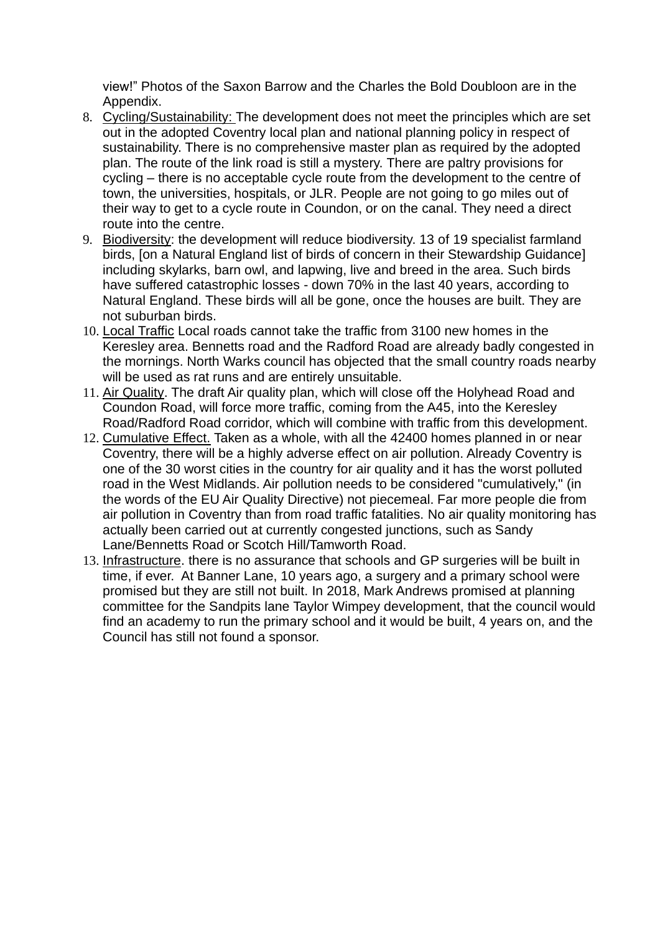view!" Photos of the Saxon Barrow and the Charles the Bold Doubloon are in the Appendix.

- 8. Cycling/Sustainability: The development does not meet the principles which are set out in the adopted Coventry local plan and national planning policy in respect of sustainability. There is no comprehensive master plan as required by the adopted plan. The route of the link road is still a mystery. There are paltry provisions for cycling – there is no acceptable cycle route from the development to the centre of town, the universities, hospitals, or JLR. People are not going to go miles out of their way to get to a cycle route in Coundon, or on the canal. They need a direct route into the centre.
- 9. Biodiversity: the development will reduce biodiversity. 13 of 19 specialist farmland birds, [on a Natural England list of birds of concern in their Stewardship Guidance] including skylarks, barn owl, and lapwing, live and breed in the area. Such birds have suffered catastrophic losses - down 70% in the last 40 years, according to Natural England. These birds will all be gone, once the houses are built. They are not suburban birds.
- 10. Local Traffic Local roads cannot take the traffic from 3100 new homes in the Keresley area. Bennetts road and the Radford Road are already badly congested in the mornings. North Warks council has objected that the small country roads nearby will be used as rat runs and are entirely unsuitable.
- 11. Air Quality. The draft Air quality plan, which will close off the Holyhead Road and Coundon Road, will force more traffic, coming from the A45, into the Keresley Road/Radford Road corridor, which will combine with traffic from this development.
- 12. Cumulative Effect. Taken as a whole, with all the 42400 homes planned in or near Coventry, there will be a highly adverse effect on air pollution. Already Coventry is one of the 30 worst cities in the country for air quality and it has the worst polluted road in the West Midlands. Air pollution needs to be considered "cumulatively," (in the words of the EU Air Quality Directive) not piecemeal. Far more people die from air pollution in Coventry than from road traffic fatalities. No air quality monitoring has actually been carried out at currently congested junctions, such as Sandy Lane/Bennetts Road or Scotch Hill/Tamworth Road.
- 13. Infrastructure. there is no assurance that schools and GP surgeries will be built in time, if ever. At Banner Lane, 10 years ago, a surgery and a primary school were promised but they are still not built. In 2018, Mark Andrews promised at planning committee for the Sandpits lane Taylor Wimpey development, that the council would find an academy to run the primary school and it would be built, 4 years on, and the Council has still not found a sponsor.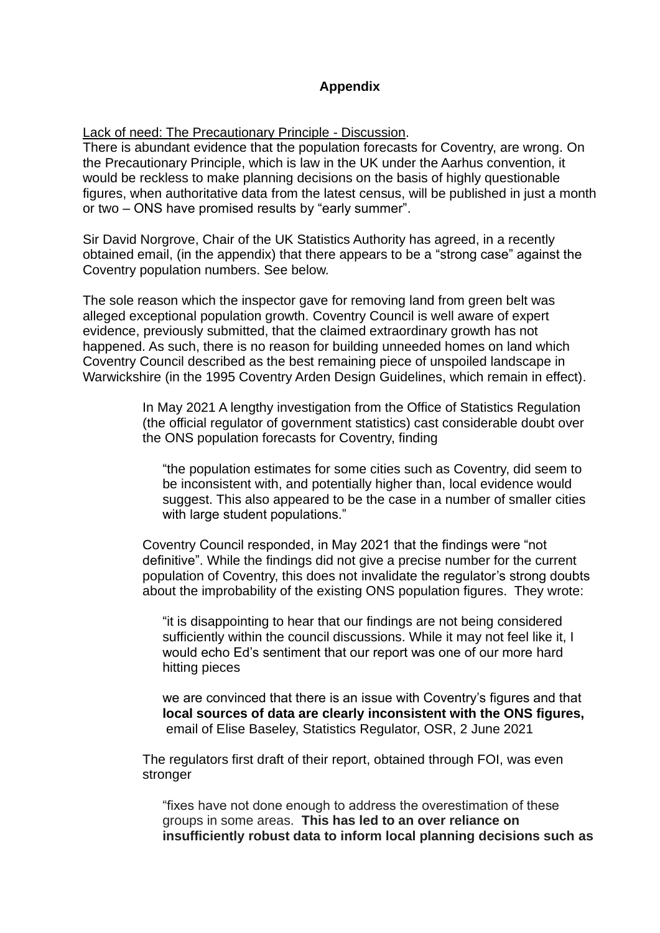# **Appendix**

Lack of need: The Precautionary Principle - Discussion.

There is abundant evidence that the population forecasts for Coventry, are wrong. On the Precautionary Principle, which is law in the UK under the Aarhus convention, it would be reckless to make planning decisions on the basis of highly questionable figures, when authoritative data from the latest census, will be published in just a month or two – ONS have promised results by "early summer".

Sir David Norgrove, Chair of the UK Statistics Authority has agreed, in a recently obtained email, (in the appendix) that there appears to be a "strong case" against the Coventry population numbers. See below.

The sole reason which the inspector gave for removing land from green belt was alleged exceptional population growth. Coventry Council is well aware of expert evidence, previously submitted, that the claimed extraordinary growth has not happened. As such, there is no reason for building unneeded homes on land which Coventry Council described as the best remaining piece of unspoiled landscape in Warwickshire (in the 1995 Coventry Arden Design Guidelines, which remain in effect).

> In May 2021 A lengthy investigation from the Office of Statistics Regulation (the official regulator of government statistics) cast considerable doubt over the ONS population forecasts for Coventry, finding

"the population estimates for some cities such as Coventry, did seem to be inconsistent with, and potentially higher than, local evidence would suggest. This also appeared to be the case in a number of smaller cities with large student populations."

Coventry Council responded, in May 2021 that the findings were "not definitive". While the findings did not give a precise number for the current population of Coventry, this does not invalidate the regulator's strong doubts about the improbability of the existing ONS population figures. They wrote:

"it is disappointing to hear that our findings are not being considered sufficiently within the council discussions. While it may not feel like it, I would echo Ed's sentiment that our report was one of our more hard hitting pieces

we are convinced that there is an issue with Coventry's figures and that **local sources of data are clearly inconsistent with the ONS figures,**  email of Elise Baseley, Statistics Regulator, OSR, 2 June 2021

The regulators first draft of their report, obtained through FOI, was even stronger

"fixes have not done enough to address the overestimation of these groups in some areas. **This has led to an over reliance on insufficiently robust data to inform local planning decisions such as**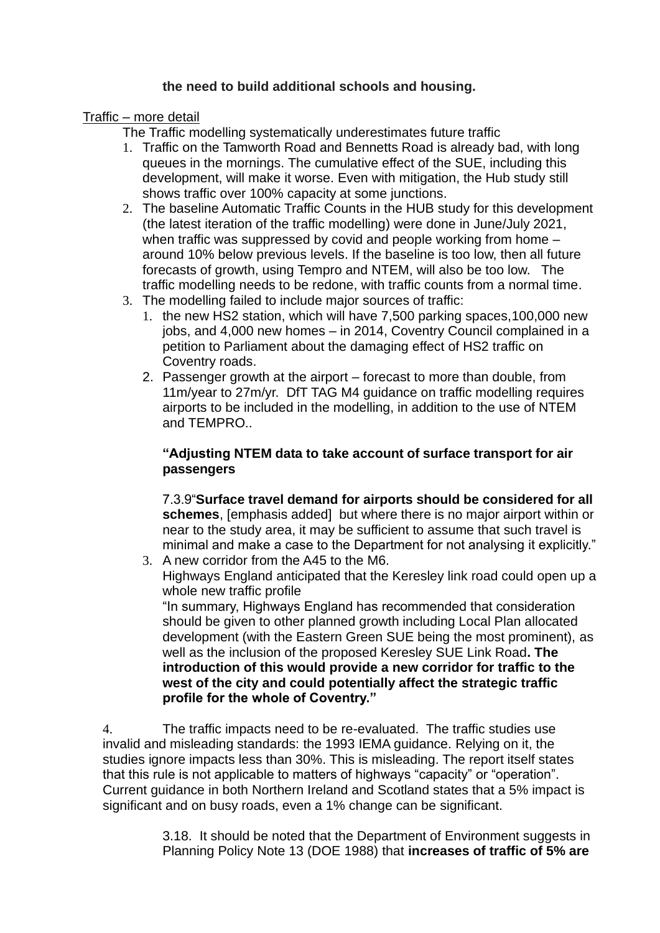# **the need to build additional schools and housing.**

### Traffic – more detail

The Traffic modelling systematically underestimates future traffic

- 1. Traffic on the Tamworth Road and Bennetts Road is already bad, with long queues in the mornings. The cumulative effect of the SUE, including this development, will make it worse. Even with mitigation, the Hub study still shows traffic over 100% capacity at some junctions.
- 2. The baseline Automatic Traffic Counts in the HUB study for this development (the latest iteration of the traffic modelling) were done in June/July 2021, when traffic was suppressed by covid and people working from home – around 10% below previous levels. If the baseline is too low, then all future forecasts of growth, using Tempro and NTEM, will also be too low. The traffic modelling needs to be redone, with traffic counts from a normal time.
- 3. The modelling failed to include major sources of traffic:
	- 1. the new HS2 station, which will have 7,500 parking spaces,100,000 new jobs, and 4,000 new homes – in 2014, Coventry Council complained in a petition to Parliament about the damaging effect of HS2 traffic on Coventry roads.
	- 2. Passenger growth at the airport forecast to more than double, from 11m/year to 27m/yr. DfT TAG M4 guidance on traffic modelling requires airports to be included in the modelling, in addition to the use of NTEM and TEMPRO..

## **"Adjusting NTEM data to take account of surface transport for air passengers**

7.3.9"**Surface travel demand for airports should be considered for all schemes**, [emphasis added] but where there is no major airport within or near to the study area, it may be sufficient to assume that such travel is minimal and make a case to the Department for not analysing it explicitly."

3. A new corridor from the A45 to the M6.

Highways England anticipated that the Keresley link road could open up a whole new traffic profile

"In summary, Highways England has recommended that consideration should be given to other planned growth including Local Plan allocated development (with the Eastern Green SUE being the most prominent), as well as the inclusion of the proposed Keresley SUE Link Road**. The introduction of this would provide a new corridor for traffic to the west of the city and could potentially affect the strategic traffic profile for the whole of Coventry."**

4. The traffic impacts need to be re-evaluated. The traffic studies use invalid and misleading standards: the 1993 IEMA guidance. Relying on it, the studies ignore impacts less than 30%. This is misleading. The report itself states that this rule is not applicable to matters of highways "capacity" or "operation". Current guidance in both Northern Ireland and Scotland states that a 5% impact is significant and on busy roads, even a 1% change can be significant.

> 3.18. It should be noted that the Department of Environment suggests in Planning Policy Note 13 (DOE 1988) that **increases of traffic of 5% are**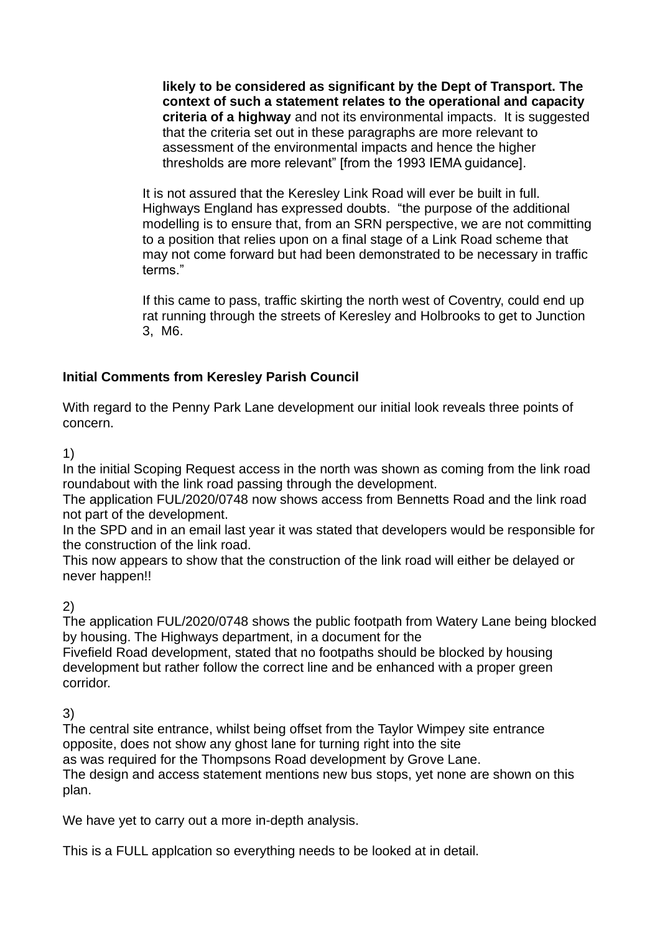**likely to be considered as significant by the Dept of Transport. The context of such a statement relates to the operational and capacity criteria of a highway** and not its environmental impacts. It is suggested that the criteria set out in these paragraphs are more relevant to assessment of the environmental impacts and hence the higher thresholds are more relevant" [from the 1993 IEMA guidance].

It is not assured that the Keresley Link Road will ever be built in full. Highways England has expressed doubts. "the purpose of the additional modelling is to ensure that, from an SRN perspective, we are not committing to a position that relies upon on a final stage of a Link Road scheme that may not come forward but had been demonstrated to be necessary in traffic terms."

If this came to pass, traffic skirting the north west of Coventry, could end up rat running through the streets of Keresley and Holbrooks to get to Junction 3, M6.

# **Initial Comments from Keresley Parish Council**

With regard to the Penny Park Lane development our initial look reveals three points of concern.

1)

In the initial Scoping Request access in the north was shown as coming from the link road roundabout with the link road passing through the development.

The application FUL/2020/0748 now shows access from Bennetts Road and the link road not part of the development.

In the SPD and in an email last year it was stated that developers would be responsible for the construction of the link road.

This now appears to show that the construction of the link road will either be delayed or never happen!!

2)

The application FUL/2020/0748 shows the public footpath from Watery Lane being blocked by housing. The Highways department, in a document for the

Fivefield Road development, stated that no footpaths should be blocked by housing development but rather follow the correct line and be enhanced with a proper green corridor.

3)

The central site entrance, whilst being offset from the Taylor Wimpey site entrance opposite, does not show any ghost lane for turning right into the site

as was required for the Thompsons Road development by Grove Lane. The design and access statement mentions new bus stops, yet none are shown on this plan.

We have yet to carry out a more in-depth analysis.

This is a FULL applcation so everything needs to be looked at in detail.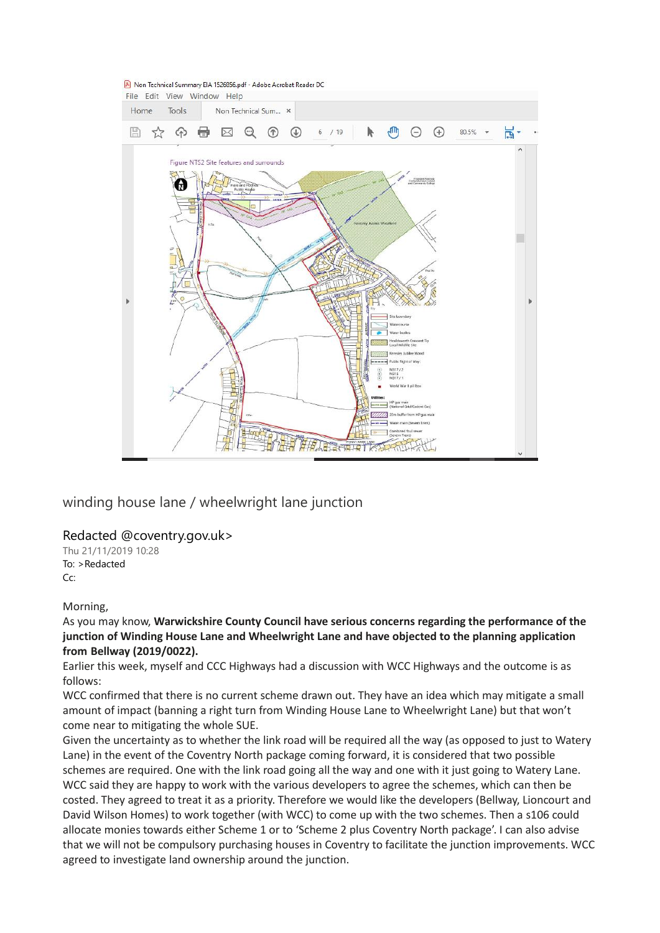

winding house lane / wheelwright lane junction

#### Redacted @coventry.gov.uk>

Thu 21/11/2019 10:28 To: >Redacted Cc:

#### Morning,

As you may know, **Warwickshire County Council have serious concerns regarding the performance of the junction of Winding House Lane and Wheelwright Lane and have objected to the planning application from Bellway (2019/0022).**

Earlier this week, myself and CCC Highways had a discussion with WCC Highways and the outcome is as follows:

WCC confirmed that there is no current scheme drawn out. They have an idea which may mitigate a small amount of impact (banning a right turn from Winding House Lane to Wheelwright Lane) but that won't come near to mitigating the whole SUE.

Given the uncertainty as to whether the link road will be required all the way (as opposed to just to Watery Lane) in the event of the Coventry North package coming forward, it is considered that two possible schemes are required. One with the link road going all the way and one with it just going to Watery Lane. WCC said they are happy to work with the various developers to agree the schemes, which can then be costed. They agreed to treat it as a priority. Therefore we would like the developers (Bellway, Lioncourt and David Wilson Homes) to work together (with WCC) to come up with the two schemes. Then a s106 could allocate monies towards either Scheme 1 or to 'Scheme 2 plus Coventry North package'. I can also advise that we will not be compulsory purchasing houses in Coventry to facilitate the junction improvements. WCC agreed to investigate land ownership around the junction.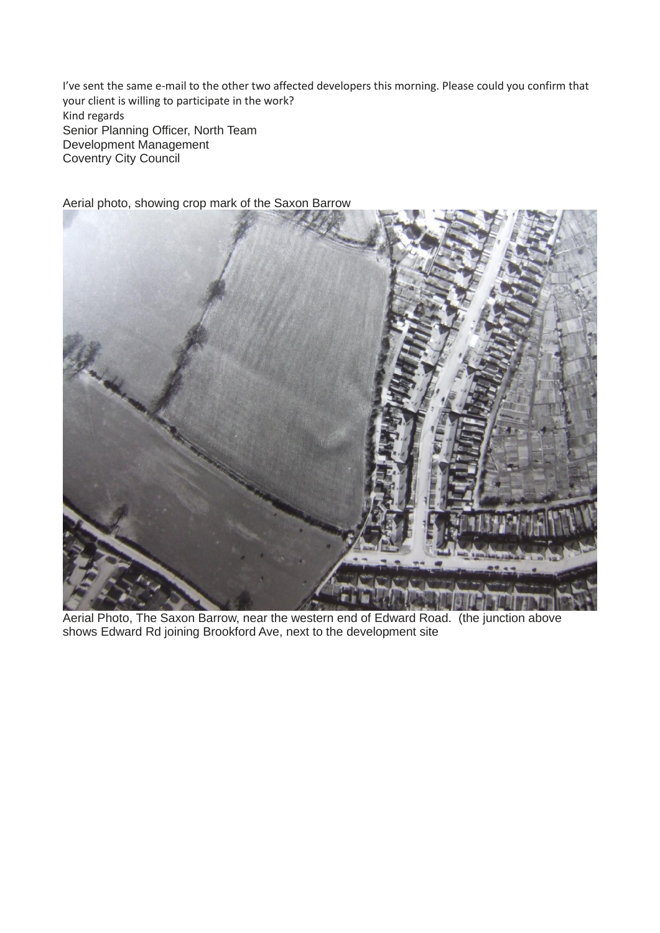I've sent the same e-mail to the other two affected developers this morning. Please could you confirm that your client is willing to participate in the work? Kind regards Senior Planning Officer, North Team Development Management Coventry City Council



Aerial photo, showing crop mark of the Saxon Barrow

Aerial Photo, The Saxon Barrow, near the western end of Edward Road. (the junction above shows Edward Rd joining Brookford Ave, next to the development site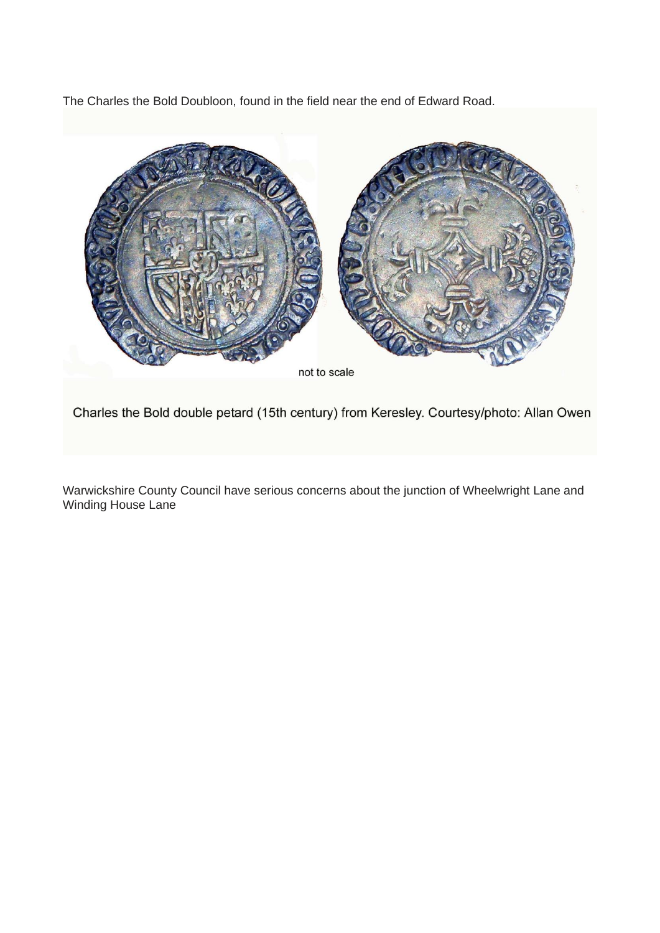The Charles the Bold Doubloon, found in the field near the end of Edward Road.



Charles the Bold double petard (15th century) from Keresley. Courtesy/photo: Allan Owen

Warwickshire County Council have serious concerns about the junction of Wheelwright Lane and Winding House Lane